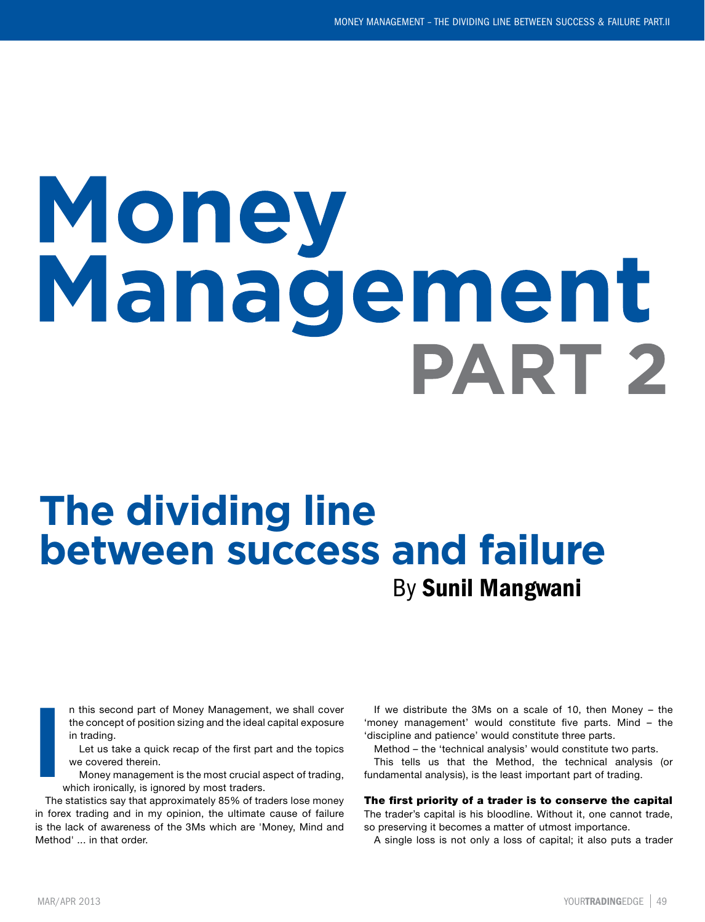# Money Management **PART 2**

# By Sunil Mangwani **The dividing line between success and failure**

n this second part of Money Management, we shall cover the concept of position sizing and the ideal capital exposure in trading.

Let us take a quick recap of the first part and the topics we covered therein.

Money management is the most crucial aspect of trading, which ironically, is ignored by most traders.

The statistics say that approximately 85% of traders lose money in forex trading and in my opinion, the ultimate cause of failure is the lack of awareness of the 3Ms which are 'Money, Mind and Method' ... in that order. **I**

If we distribute the 3Ms on a scale of 10, then Money – the 'money management' would constitute five parts. Mind – the 'discipline and patience' would constitute three parts.

Method – the 'technical analysis' would constitute two parts. This tells us that the Method, the technical analysis (or fundamental analysis), is the least important part of trading.

# The first priority of a trader is to conserve the capital

The trader's capital is his bloodline. Without it, one cannot trade, so preserving it becomes a matter of utmost importance.

A single loss is not only a loss of capital; it also puts a trader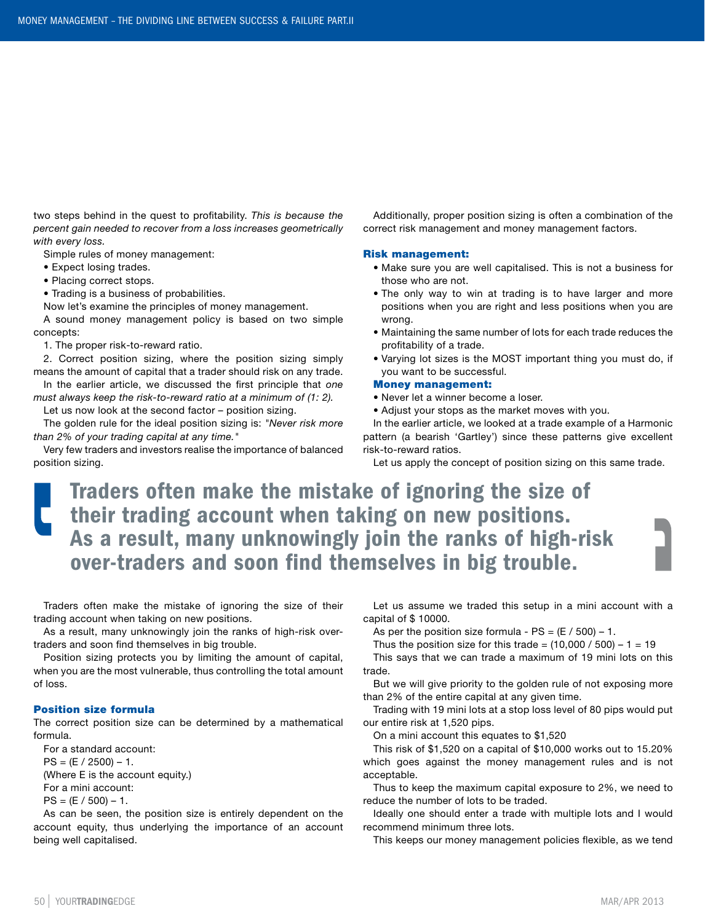two steps behind in the quest to profitability. *This is because the percent gain needed to recover from a loss increases geometrically with every loss.* 

Simple rules of money management:

• Expect losing trades.

• Placing correct stops.

• Trading is a business of probabilities.

Now let's examine the principles of money management.

A sound money management policy is based on two simple concepts:

1. The proper risk-to-reward ratio.

2. Correct position sizing, where the position sizing simply means the amount of capital that a trader should risk on any trade.

In the earlier article, we discussed the first principle that *one must always keep the risk-to-reward ratio at a minimum of (1: 2).*

Let us now look at the second factor – position sizing.

The golden rule for the ideal position sizing is: *"Never risk more than 2% of your trading capital at any time."*

Very few traders and investors realise the importance of balanced position sizing.

Additionally, proper position sizing is often a combination of the correct risk management and money management factors.

#### Risk management:

- Make sure you are well capitalised. This is not a business for those who are not.
- The only way to win at trading is to have larger and more positions when you are right and less positions when you are wrong.
- Maintaining the same number of lots for each trade reduces the profitability of a trade.
- Varying lot sizes is the MOST important thing you must do, if you want to be successful.

#### Money management:

- Never let a winner become a loser.
- Adjust your stops as the market moves with you.

In the earlier article, we looked at a trade example of a Harmonic pattern (a bearish 'Gartley') since these patterns give excellent risk-to-reward ratios.

Let us apply the concept of position sizing on this same trade.

Traders often make the mistake of ignoring the size of their trading account when taking on new positions. As a result, many unknowingly join the ranks of high-risk over-traders and soon find themselves in big trouble.

Traders often make the mistake of ignoring the size of their trading account when taking on new positions.

As a result, many unknowingly join the ranks of high-risk overtraders and soon find themselves in big trouble.

Position sizing protects you by limiting the amount of capital, when you are the most vulnerable, thus controlling the total amount of loss.

### Position size formula

The correct position size can be determined by a mathematical formula.

For a standard account:  $PS = (E / 2500) - 1.$ (Where E is the account equity.) For a mini account:  $PS = (E / 500) - 1.$ 

As can be seen, the position size is entirely dependent on the account equity, thus underlying the importance of an account being well capitalised.

Let us assume we traded this setup in a mini account with a capital of \$ 10000.

As per the position size formula -  $PS = (E / 500) - 1$ .

Thus the position size for this trade =  $(10,000 / 500) - 1 = 19$ 

This says that we can trade a maximum of 19 mini lots on this trade.

But we will give priority to the golden rule of not exposing more than 2% of the entire capital at any given time.

Trading with 19 mini lots at a stop loss level of 80 pips would put our entire risk at 1,520 pips.

On a mini account this equates to \$1,520

This risk of \$1,520 on a capital of \$10,000 works out to 15.20% which goes against the money management rules and is not acceptable.

Thus to keep the maximum capital exposure to 2%, we need to reduce the number of lots to be traded.

Ideally one should enter a trade with multiple lots and I would recommend minimum three lots.

This keeps our money management policies flexible, as we tend